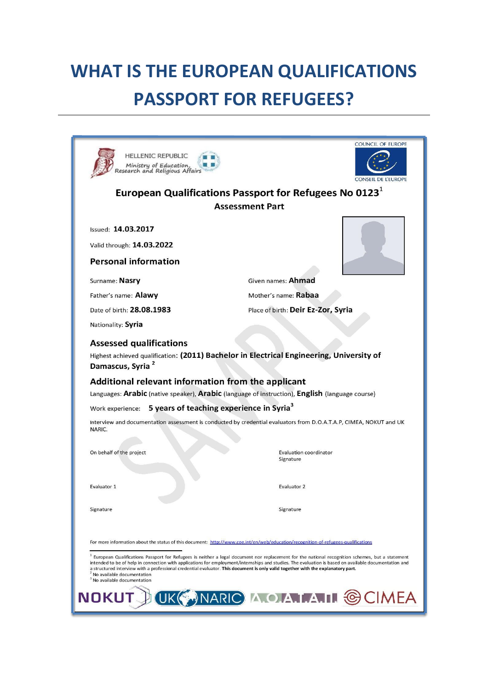# **WHAT IS THE EUROPEAN QUALIFICATIONS PASSPORT FOR REFUGEES?**

| <b>HELLENIC REPUBLIC</b><br>Ministry of Education,<br>Research and Religious Affair                                                                                                                                                                                                                                                                                                                                                                                                                                                | <b>COUNCIL OF EUROPE</b><br>CONSEIL DE L'EUROPE |
|------------------------------------------------------------------------------------------------------------------------------------------------------------------------------------------------------------------------------------------------------------------------------------------------------------------------------------------------------------------------------------------------------------------------------------------------------------------------------------------------------------------------------------|-------------------------------------------------|
| European Qualifications Passport for Refugees No 0123 $^1$<br><b>Assessment Part</b>                                                                                                                                                                                                                                                                                                                                                                                                                                               |                                                 |
| Issued: 14.03.2017<br>Valid through: 14.03.2022                                                                                                                                                                                                                                                                                                                                                                                                                                                                                    |                                                 |
| <b>Personal information</b>                                                                                                                                                                                                                                                                                                                                                                                                                                                                                                        |                                                 |
| Surname: Nasry                                                                                                                                                                                                                                                                                                                                                                                                                                                                                                                     | Given names: <b>Ahmad</b>                       |
| Father's name: Alawy                                                                                                                                                                                                                                                                                                                                                                                                                                                                                                               | Mother's name: Rabaa                            |
| Date of birth: 28.08.1983                                                                                                                                                                                                                                                                                                                                                                                                                                                                                                          | Place of birth: Deir Ez-Zor, Syria              |
| Nationality: Syria                                                                                                                                                                                                                                                                                                                                                                                                                                                                                                                 |                                                 |
| <b>Assessed qualifications</b><br>Highest achieved qualification: (2011) Bachelor in Electrical Engineering, University of<br>Damascus, Syria <sup>2</sup><br>Additional relevant information from the applicant<br>Languages: Arabic (native speaker), Arabic (language of instruction), English (language course)                                                                                                                                                                                                                |                                                 |
| Work experience: 5 years of teaching experience in Syria <sup>3</sup>                                                                                                                                                                                                                                                                                                                                                                                                                                                              |                                                 |
| Interview and documentation assessment is conducted by credential evaluators from D.O.A.T.A.P, CIMEA, NOKUT and UK<br>NARIC.                                                                                                                                                                                                                                                                                                                                                                                                       |                                                 |
| On behalf of the project                                                                                                                                                                                                                                                                                                                                                                                                                                                                                                           | <b>Evaluation coordinator</b><br>Signature      |
| Evaluator 1                                                                                                                                                                                                                                                                                                                                                                                                                                                                                                                        | Evaluator 2                                     |
| Signature                                                                                                                                                                                                                                                                                                                                                                                                                                                                                                                          | Signature                                       |
| For more information about the status of this document: http://www.coe.int/en/web/education/recognition-of-refugees-qualifications                                                                                                                                                                                                                                                                                                                                                                                                 |                                                 |
| European Qualifications Passport for Refugees is neither a legal document nor replacement for the national recognition schemes, but a statement<br>intended to be of help in connection with applications for employment/internships and studies. The evaluation is based on available documentation and<br>a structured interview with a professional credential evaluator. This document is only valid together with the explanatory part.<br><sup>2</sup> No available documentation<br><sup>3</sup> No available documentation |                                                 |
|                                                                                                                                                                                                                                                                                                                                                                                                                                                                                                                                    | NOKUT DUKG NARIC A O AT AT GCIMEA               |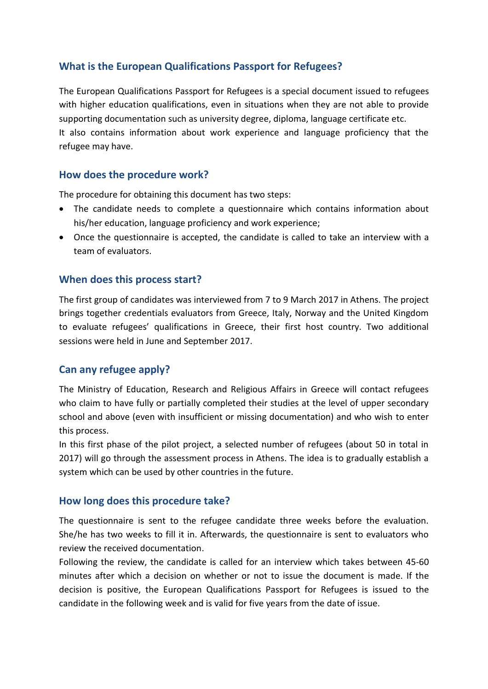# **What is the European Qualifications Passport for Refugees?**

The European Qualifications Passport for Refugees is a special document issued to refugees with higher education qualifications, even in situations when they are not able to provide supporting documentation such as university degree, diploma, language certificate etc. It also contains information about work experience and language proficiency that the refugee may have.

#### **How does the procedure work?**

The procedure for obtaining this document has two steps:

- The candidate needs to complete a questionnaire which contains information about his/her education, language proficiency and work experience;
- Once the questionnaire is accepted, the candidate is called to take an interview with a team of evaluators.

## **When does this process start?**

The first group of candidates was interviewed from 7 to 9 March 2017 in Athens. The project brings together credentials evaluators from Greece, Italy, Norway and the United Kingdom to evaluate refugees' qualifications in Greece, their first host country. Two additional sessions were held in June and September 2017.

# **Can any refugee apply?**

The Ministry of Education, Research and Religious Affairs in Greece will contact refugees who claim to have fully or partially completed their studies at the level of upper secondary school and above (even with insufficient or missing documentation) and who wish to enter this process.

In this first phase of the pilot project, a selected number of refugees (about 50 in total in 2017) will go through the assessment process in Athens. The idea is to gradually establish a system which can be used by other countries in the future.

#### **How long does this procedure take?**

The questionnaire is sent to the refugee candidate three weeks before the evaluation. She/he has two weeks to fill it in. Afterwards, the questionnaire is sent to evaluators who review the received documentation.

Following the review, the candidate is called for an interview which takes between 45-60 minutes after which a decision on whether or not to issue the document is made. If the decision is positive, the European Qualifications Passport for Refugees is issued to the candidate in the following week and is valid for five years from the date of issue.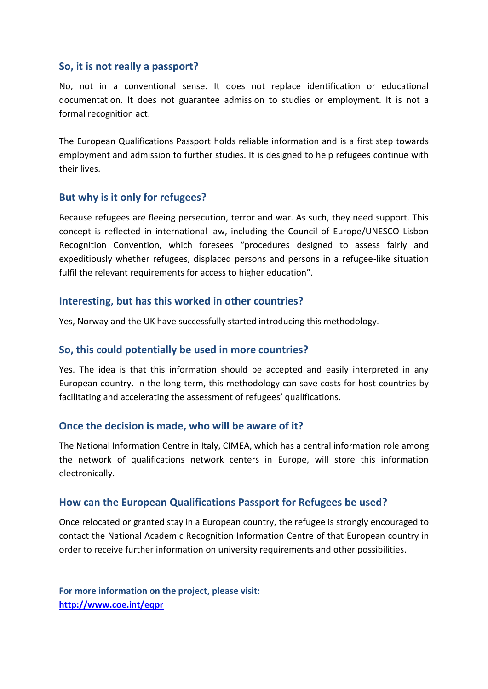#### **So, it is not really a passport?**

No, not in a conventional sense. It does not replace identification or educational documentation. It does not guarantee admission to studies or employment. It is not a formal recognition act.

The European Qualifications Passport holds reliable information and is a first step towards employment and admission to further studies. It is designed to help refugees continue with their lives.

#### **But why is it only for refugees?**

Because refugees are fleeing persecution, terror and war. As such, they need support. This concept is reflected in international law, including the Council of Europe/UNESCO Lisbon Recognition Convention, which foresees "procedures designed to assess fairly and expeditiously whether refugees, displaced persons and persons in a refugee-like situation fulfil the relevant requirements for access to higher education".

## **Interesting, but has this worked in other countries?**

Yes, Norway and the UK have successfully started introducing this methodology.

# **So, this could potentially be used in more countries?**

Yes. The idea is that this information should be accepted and easily interpreted in any European country. In the long term, this methodology can save costs for host countries by facilitating and accelerating the assessment of refugees' qualifications.

#### **Once the decision is made, who will be aware of it?**

The National Information Centre in Italy, CIMEA, which has a central information role among the network of qualifications network centers in Europe, will store this information electronically.

#### **How can the European Qualifications Passport for Refugees be used?**

Once relocated or granted stay in a European country, the refugee is strongly encouraged to contact the National Academic Recognition Information Centre of that European country in order to receive further information on university requirements and other possibilities.

**For more information on the project, please visit: <http://www.coe.int/eqpr>**